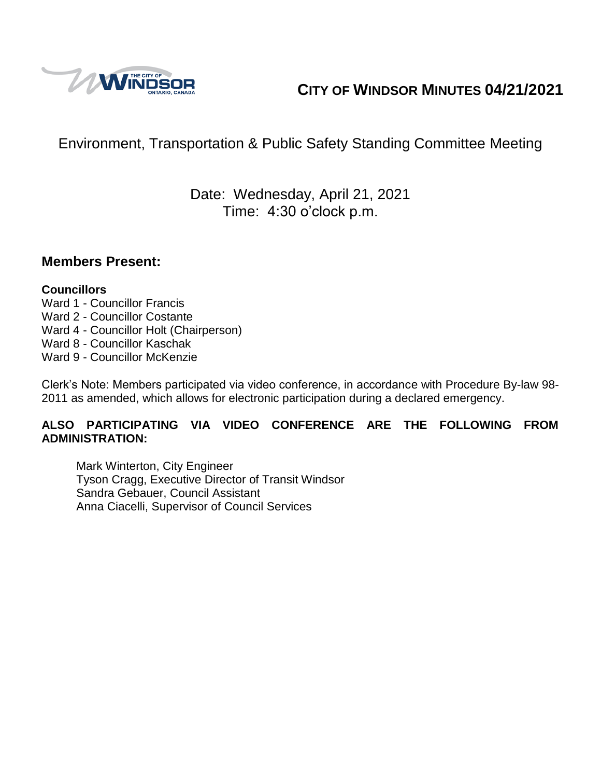

# **CITY OF WINDSOR MINUTES 04/21/2021**

# Environment, Transportation & Public Safety Standing Committee Meeting

## Date: Wednesday, April 21, 2021 Time: 4:30 o'clock p.m.

### **Members Present:**

#### **Councillors**

- Ward 1 Councillor Francis
- Ward 2 Councillor Costante
- Ward 4 Councillor Holt (Chairperson)
- Ward 8 Councillor Kaschak
- Ward 9 Councillor McKenzie

Clerk's Note: Members participated via video conference, in accordance with Procedure By-law 98- 2011 as amended, which allows for electronic participation during a declared emergency.

#### **ALSO PARTICIPATING VIA VIDEO CONFERENCE ARE THE FOLLOWING FROM ADMINISTRATION:**

Mark Winterton, City Engineer Tyson Cragg, Executive Director of Transit Windsor Sandra Gebauer, Council Assistant Anna Ciacelli, Supervisor of Council Services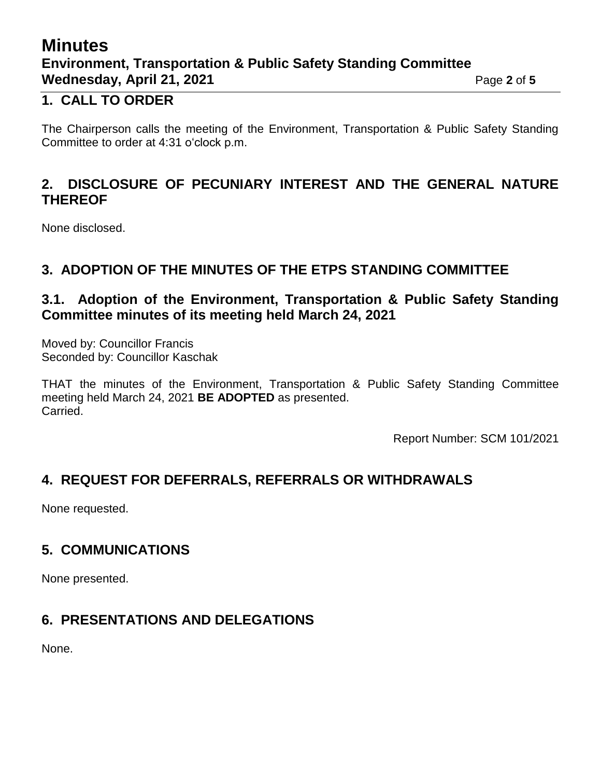# **Minutes Environment, Transportation & Public Safety Standing Committee Wednesday, April 21, 2021 Page 2** of 5

### **1. CALL TO ORDER**

The Chairperson calls the meeting of the Environment, Transportation & Public Safety Standing Committee to order at 4:31 o'clock p.m.

### **2. DISCLOSURE OF PECUNIARY INTEREST AND THE GENERAL NATURE THEREOF**

None disclosed.

### **3. ADOPTION OF THE MINUTES OF THE ETPS STANDING COMMITTEE**

### **3.1. Adoption of the Environment, Transportation & Public Safety Standing Committee minutes of its meeting held March 24, 2021**

Moved by: Councillor Francis Seconded by: Councillor Kaschak

THAT the minutes of the Environment, Transportation & Public Safety Standing Committee meeting held March 24, 2021 **BE ADOPTED** as presented. Carried.

Report Number: SCM 101/2021

## **4. REQUEST FOR DEFERRALS, REFERRALS OR WITHDRAWALS**

None requested.

## **5. COMMUNICATIONS**

None presented.

## **6. PRESENTATIONS AND DELEGATIONS**

None.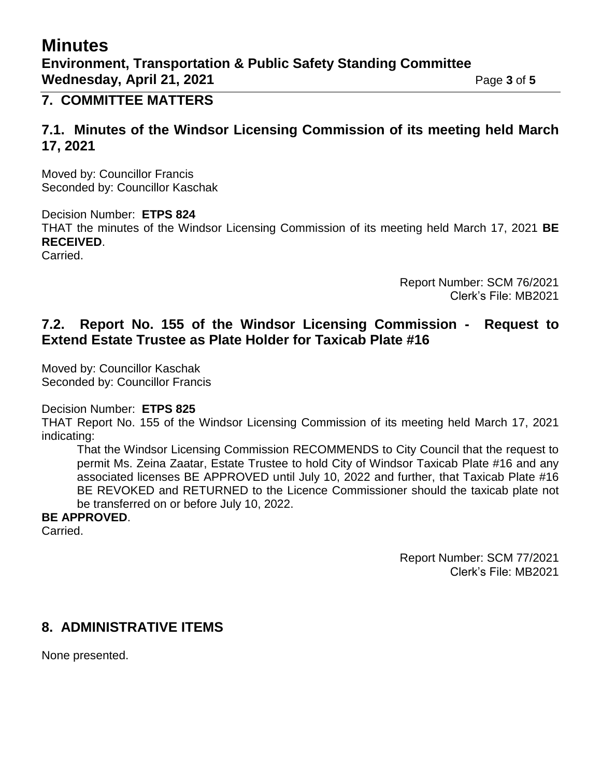# **Minutes Environment, Transportation & Public Safety Standing Committee Wednesday, April 21, 2021 Page 3** of 5

### **7. COMMITTEE MATTERS**

### **7.1. Minutes of the Windsor Licensing Commission of its meeting held March 17, 2021**

Moved by: Councillor Francis Seconded by: Councillor Kaschak

Decision Number: **ETPS 824** THAT the minutes of the Windsor Licensing Commission of its meeting held March 17, 2021 **BE RECEIVED**. Carried.

> Report Number: SCM 76/2021 Clerk's File: MB2021

### **7.2. Report No. 155 of the Windsor Licensing Commission - Request to Extend Estate Trustee as Plate Holder for Taxicab Plate #16**

Moved by: Councillor Kaschak Seconded by: Councillor Francis

Decision Number: **ETPS 825**

THAT Report No. 155 of the Windsor Licensing Commission of its meeting held March 17, 2021 indicating:

That the Windsor Licensing Commission RECOMMENDS to City Council that the request to permit Ms. Zeina Zaatar, Estate Trustee to hold City of Windsor Taxicab Plate #16 and any associated licenses BE APPROVED until July 10, 2022 and further, that Taxicab Plate #16 BE REVOKED and RETURNED to the Licence Commissioner should the taxicab plate not be transferred on or before July 10, 2022.

**BE APPROVED**.

Carried.

Report Number: SCM 77/2021 Clerk's File: MB2021

### **8. ADMINISTRATIVE ITEMS**

None presented.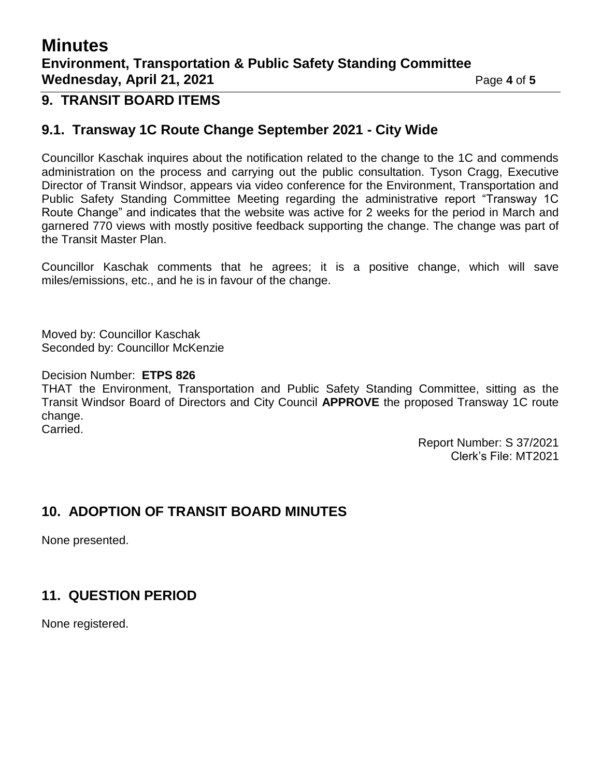# **Minutes Environment, Transportation & Public Safety Standing Committee Wednesday, April 21, 2021 Page 4** of 5

### **9. TRANSIT BOARD ITEMS**

### **9.1. Transway 1C Route Change September 2021 - City Wide**

Councillor Kaschak inquires about the notification related to the change to the 1C and commends administration on the process and carrying out the public consultation. Tyson Cragg, Executive Director of Transit Windsor, appears via video conference for the Environment, Transportation and Public Safety Standing Committee Meeting regarding the administrative report "Transway 1C Route Change" and indicates that the website was active for 2 weeks for the period in March and garnered 770 views with mostly positive feedback supporting the change. The change was part of the Transit Master Plan.

Councillor Kaschak comments that he agrees; it is a positive change, which will save miles/emissions, etc., and he is in favour of the change.

Moved by: Councillor Kaschak Seconded by: Councillor McKenzie

Decision Number: **ETPS 826**

THAT the Environment, Transportation and Public Safety Standing Committee, sitting as the Transit Windsor Board of Directors and City Council **APPROVE** the proposed Transway 1C route change. Carried.

> Report Number: S 37/2021 Clerk's File: MT2021

#### **10. ADOPTION OF TRANSIT BOARD MINUTES**

None presented.

### **11. QUESTION PERIOD**

None registered.